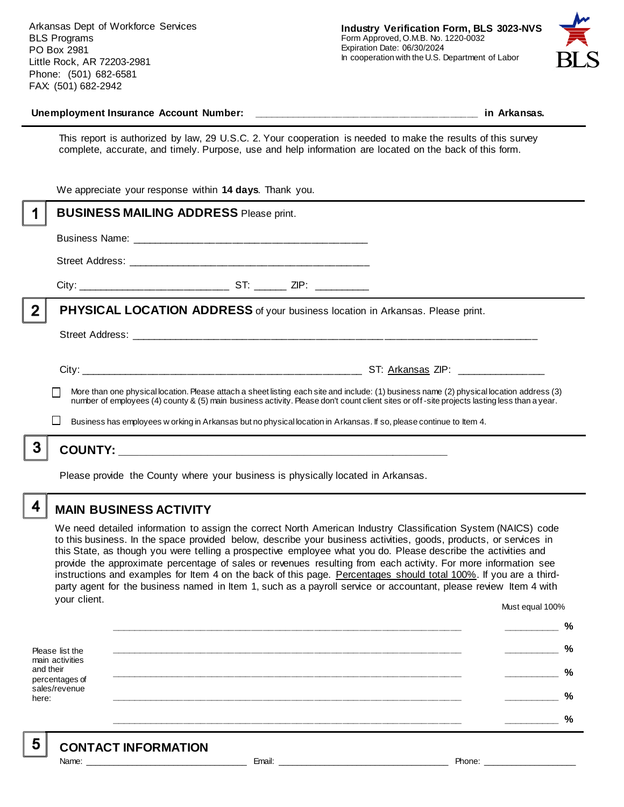Arkansas Dept of Workforce Services BLS Programs PO Box 2981 Little Rock, AR 72203-2981 Phone: (501) 682-6581 FAX: (501) 682-2942



#### **Unemployment Insurance Account Number: \_\_\_\_\_\_\_\_\_\_\_\_\_\_\_\_\_\_\_\_\_\_\_\_\_\_\_\_\_\_\_\_\_\_\_\_\_\_\_\_ in Arkansas.**

This report is authorized by law, 29 U.S.C. 2. Your cooperation is needed to make the results of this survey complete, accurate, and timely. Purpose, use and help information are located on the back of this form.

|              | number of employees (4) county & (5) main business activity. Please don't count client sites or off-site projects lasting less than a year.<br>Business has employees w orking in Arkansas but no physical location in Arkansas. If so, please continue to Item 4. |  |
|--------------|--------------------------------------------------------------------------------------------------------------------------------------------------------------------------------------------------------------------------------------------------------------------|--|
|              | More than one physical location. Please attach a sheet listing each site and include: (1) business name (2) physical location address (3)                                                                                                                          |  |
|              |                                                                                                                                                                                                                                                                    |  |
|              |                                                                                                                                                                                                                                                                    |  |
| $\mathbf{2}$ | <b>PHYSICAL LOCATION ADDRESS</b> of your business location in Arkansas. Please print.                                                                                                                                                                              |  |
|              |                                                                                                                                                                                                                                                                    |  |
|              |                                                                                                                                                                                                                                                                    |  |
|              |                                                                                                                                                                                                                                                                    |  |
|              | <b>BUSINESS MAILING ADDRESS Please print.</b>                                                                                                                                                                                                                      |  |
|              | We appreciate your response within 14 days. Thank you.                                                                                                                                                                                                             |  |

Please provide the County where your business is physically located in Arkansas.

4

5

# **MAIN BUSINESS ACTIVITY**

We need detailed information to assign the correct North American Industry Classification System (NAICS) code to this business. In the space provided below, describe your business activities, goods, products, or services in this State, as though you were telling a prospective employee what you do. Please describe the activities and provide the approximate percentage of sales or revenues resulting from each activity. For more information see instructions and examples for Item 4 on the back of this page. Percentages should total 100%. If you are a thirdparty agent for the business named in Item 1, such as a payroll service or accountant, please review Item 4 with your client. Must equal 100%

Please list the main activities and their percentages of sales/revenue here: **\_\_\_\_\_\_\_\_\_\_\_\_\_\_\_\_\_\_\_\_\_\_\_\_\_\_\_\_\_\_\_\_\_\_\_\_\_\_\_\_\_\_\_\_\_\_\_\_\_\_\_\_\_\_\_\_\_\_\_\_\_\_ \_\_\_\_\_\_\_\_\_\_ % \_\_\_\_\_\_\_\_\_\_\_\_\_\_\_\_\_\_\_\_\_\_\_\_\_\_\_\_\_\_\_\_\_\_\_\_\_\_\_\_\_\_\_\_\_\_\_\_\_\_\_\_\_\_\_\_\_\_\_\_\_\_ \_\_\_\_\_\_\_\_\_\_ % \_\_\_\_\_\_\_\_\_\_\_\_\_\_\_\_\_\_\_\_\_\_\_\_\_\_\_\_\_\_\_\_\_\_\_\_\_\_\_\_\_\_\_\_\_\_\_\_\_\_\_\_\_\_\_\_\_\_\_\_\_\_ \_\_\_\_\_\_\_\_\_\_ % \_\_\_\_\_\_\_\_\_\_\_\_\_\_\_\_\_\_\_\_\_\_\_\_\_\_\_\_\_\_\_\_\_\_\_\_\_\_\_\_\_\_\_\_\_\_\_\_\_\_\_\_\_\_\_\_\_\_\_\_\_\_ \_\_\_\_\_\_\_\_\_\_ % \_\_\_\_\_\_\_\_\_\_\_\_\_\_\_\_\_\_\_\_\_\_\_\_\_\_\_\_\_\_\_\_\_\_\_\_\_\_\_\_\_\_\_\_\_\_\_\_\_\_\_\_\_\_\_\_\_\_\_\_\_\_ \_\_\_\_\_\_\_\_\_\_ %**